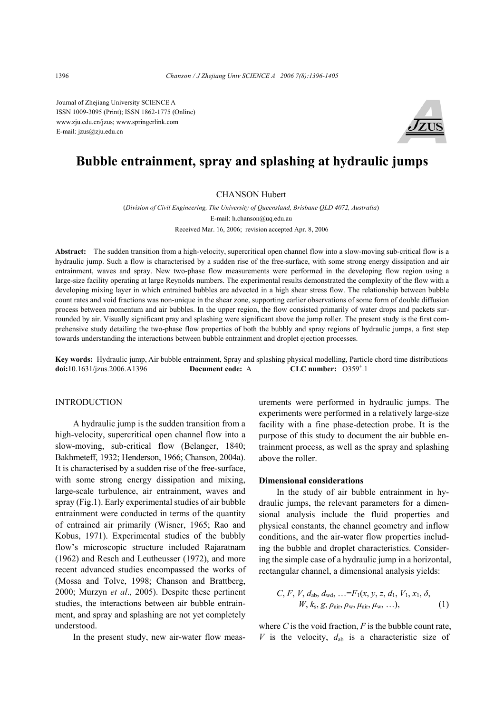Journal of Zhejiang University SCIENCE A ISSN 1009-3095 (Print); ISSN 1862-1775 (Online) www.zju.edu.cn/jzus; www.springerlink.com E-mail: jzus@zju.edu.cn



# **Bubble entrainment, spray and splashing at hydraulic jumps**

#### CHANSON Hubert

(*Division of Civil Engineering, The University of Queensland, Brisbane QLD 4072, Australia*) E-mail: h.chanson@uq.edu.au Received Mar. 16, 2006; revision accepted Apr. 8, 2006

**Abstract:** The sudden transition from a high-velocity, supercritical open channel flow into a slow-moving sub-critical flow is a hydraulic jump. Such a flow is characterised by a sudden rise of the free-surface, with some strong energy dissipation and air entrainment, waves and spray. New two-phase flow measurements were performed in the developing flow region using a large-size facility operating at large Reynolds numbers. The experimental results demonstrated the complexity of the flow with a developing mixing layer in which entrained bubbles are advected in a high shear stress flow. The relationship between bubble count rates and void fractions was non-unique in the shear zone, supporting earlier observations of some form of double diffusion process between momentum and air bubbles. In the upper region, the flow consisted primarily of water drops and packets surrounded by air. Visually significant pray and splashing were significant above the jump roller. The present study is the first comprehensive study detailing the two-phase flow properties of both the bubbly and spray regions of hydraulic jumps, a first step towards understanding the interactions between bubble entrainment and droplet ejection processes.

**Key words:** Hydraulic jump, Air bubble entrainment, Spray and splashing physical modelling, Particle chord time distributions **doi:**10.1631/jzus.2006.A1396 **Document code:** A  $CLC$  number:  $0359^{\circ}$ .1

#### INTRODUCTION

A hydraulic jump is the sudden transition from a high-velocity, supercritical open channel flow into a slow-moving, sub-critical flow (Belanger, 1840; Bakhmeteff, 1932; Henderson, 1966; Chanson, 2004a). It is characterised by a sudden rise of the free-surface, with some strong energy dissipation and mixing, large-scale turbulence, air entrainment, waves and spray (Fig.1). Early experimental studies of air bubble entrainment were conducted in terms of the quantity of entrained air primarily (Wisner, 1965; Rao and Kobus, 1971). Experimental studies of the bubbly flow's microscopic structure included Rajaratnam (1962) and Resch and Leutheusser (1972), and more recent advanced studies encompassed the works of (Mossa and Tolve, 1998; Chanson and Brattberg, 2000; Murzyn *et al*., 2005). Despite these pertinent studies, the interactions between air bubble entrainment, and spray and splashing are not yet completely understood.

In the present study, new air-water flow meas-

urements were performed in hydraulic jumps. The experiments were performed in a relatively large-size facility with a fine phase-detection probe. It is the purpose of this study to document the air bubble entrainment process, as well as the spray and splashing above the roller.

#### **Dimensional considerations**

In the study of air bubble entrainment in hydraulic jumps, the relevant parameters for a dimensional analysis include the fluid properties and physical constants, the channel geometry and inflow conditions, and the air-water flow properties including the bubble and droplet characteristics. Considering the simple case of a hydraulic jump in a horizontal, rectangular channel, a dimensional analysis yields:

$$
C, F, V, d_{ab}, d_{wd}, \ldots = F_1(x, y, z, d_1, V_1, x_1, \delta, W, k_s, g, \rho_{air}, \rho_w, \mu_{air}, \mu_w, \ldots),
$$
 (1)

where  $C$  is the void fraction,  $F$  is the bubble count rate, *V* is the velocity,  $d_{ab}$  is a characteristic size of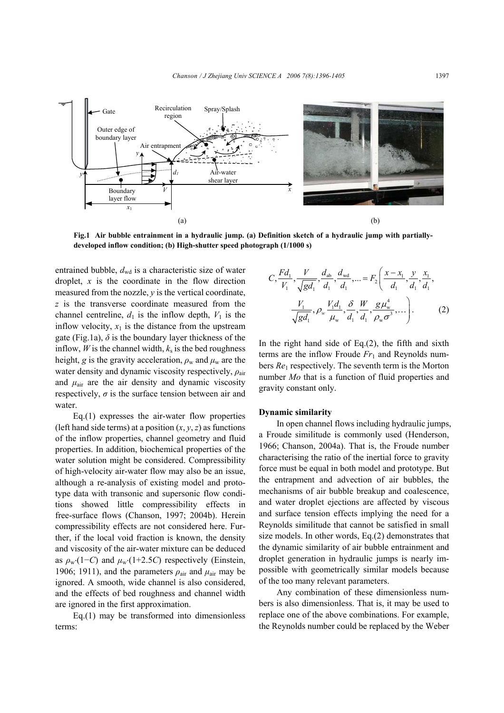

**Fig.1 Air bubble entrainment in a hydraulic jump. (a) Definition sketch of a hydraulic jump with partiallydeveloped inflow condition; (b) High-shutter speed photograph (1/1000 s)** 

entrained bubble,  $d_{\text{wd}}$  is a characteristic size of water droplet, *x* is the coordinate in the flow direction measured from the nozzle, *y* is the vertical coordinate, *z* is the transverse coordinate measured from the channel centreline,  $d_1$  is the inflow depth,  $V_1$  is the inflow velocity,  $x_1$  is the distance from the upstream gate (Fig.1a),  $\delta$  is the boundary layer thickness of the inflow, *W* is the channel width,  $k_s$  is the bed roughness height, *g* is the gravity acceleration,  $\rho_w$  and  $\mu_w$  are the water density and dynamic viscosity respectively, *ρ*air and  $\mu_{\text{air}}$  are the air density and dynamic viscosity respectively,  $\sigma$  is the surface tension between air and water.

Eq.(1) expresses the air-water flow properties (left hand side terms) at a position  $(x, y, z)$  as functions of the inflow properties, channel geometry and fluid properties. In addition, biochemical properties of the water solution might be considered. Compressibility of high-velocity air-water flow may also be an issue, although a re-analysis of existing model and prototype data with transonic and supersonic flow conditions showed little compressibility effects in free-surface flows (Chanson, 1997; 2004b). Herein compressibility effects are not considered here. Further, if the local void fraction is known, the density and viscosity of the air-water mixture can be deduced as  $\rho_w (1-C)$  and  $\mu_w (1+2.5C)$  respectively (Einstein, 1906; 1911), and the parameters  $\rho_{\text{air}}$  and  $\mu_{\text{air}}$  may be ignored. A smooth, wide channel is also considered, and the effects of bed roughness and channel width are ignored in the first approximation.

Eq.(1) may be transformed into dimensionless terms:

$$
C, \frac{Fd_1}{V_1}, \frac{V}{\sqrt{gd_1}}, \frac{d_{ab}}{d_1}, \frac{d_{wd}}{d_1}, \dots = F_2\left(\frac{x - x_1}{d_1}, \frac{y}{d_1}, \frac{x_1}{d_1}, \frac{y_1}{d_1}, \frac{y_1}{d_1}, \frac{y_1}{d_1}, \frac{y_1}{d_1}, \frac{y_1}{d_1}, \frac{y_1}{d_1}, \frac{y_1}{d_1}, \frac{y_1}{d_1}, \frac{y_1}{d_1}, \dots\right).
$$
 (2)

In the right hand side of Eq. $(2)$ , the fifth and sixth terms are the inflow Froude  $Fr_1$  and Reynolds numbers *Re*1 respectively. The seventh term is the Morton number *Mo* that is a function of fluid properties and gravity constant only.

#### **Dynamic similarity**

In open channel flows including hydraulic jumps, a Froude similitude is commonly used (Henderson, 1966; Chanson, 2004a). That is, the Froude number characterising the ratio of the inertial force to gravity force must be equal in both model and prototype. But the entrapment and advection of air bubbles, the mechanisms of air bubble breakup and coalescence, and water droplet ejections are affected by viscous and surface tension effects implying the need for a Reynolds similitude that cannot be satisfied in small size models. In other words, Eq.(2) demonstrates that the dynamic similarity of air bubble entrainment and droplet generation in hydraulic jumps is nearly impossible with geometrically similar models because of the too many relevant parameters.

Any combination of these dimensionless numbers is also dimensionless. That is, it may be used to replace one of the above combinations. For example, the Reynolds number could be replaced by the Weber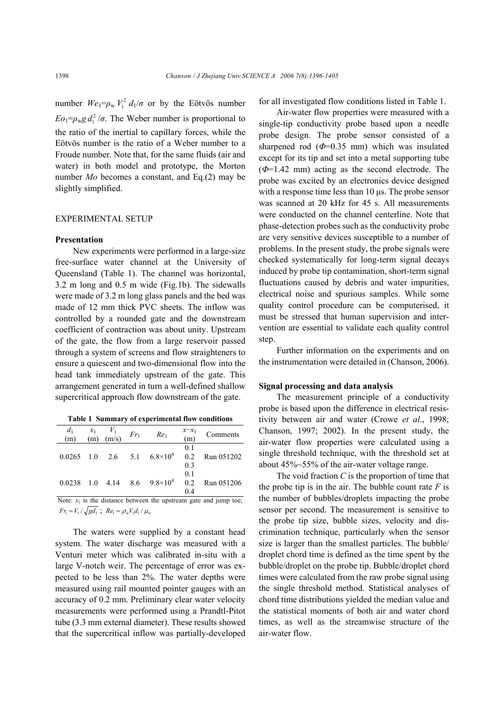number  $We_1 = \rho_w V_1^2 d_1/\sigma$  or by the Eötvös number  $E_0 = \rho_w g d_1^2 / \sigma$ . The Weber number is proportional to the ratio of the inertial to capillary forces, while the Eötvös number is the ratio of a Weber number to a Froude number. Note that, for the same fluids (air and water) in both model and prototype, the Morton number *Mo* becomes a constant, and Eq.(2) may be slightly simplified.

### EXPERIMENTAL SETUP

#### **Presentation**

New experiments were performed in a large-size free-surface water channel at the University of Queensland (Table 1). The channel was horizontal, 3.2 m long and 0.5 m wide (Fig.1b). The sidewalls were made of 3.2 m long glass panels and the bed was made of 12 mm thick PVC sheets. The inflow was controlled by a rounded gate and the downstream coefficient of contraction was about unity. Upstream of the gate, the flow from a large reservoir passed through a system of screens and flow straighteners to ensure a quiescent and two-dimensional flow into the head tank immediately upstream of the gate. This arrangement generated in turn a well-defined shallow supercritical approach flow downstream of the gate.

| Table 1 Summary of Cypermicilial flow conditions |  |                                                                          |  |                                         |                     |            |  |  |
|--------------------------------------------------|--|--------------------------------------------------------------------------|--|-----------------------------------------|---------------------|------------|--|--|
| $\frac{d_1}{(m)}$                                |  | $\begin{array}{cc} x_1 & V_1 \\ (m) & (m/s) \end{array}$ Fr <sub>1</sub> |  | Re <sub>1</sub>                         | $\frac{x-x_1}{(m)}$ | Comments   |  |  |
|                                                  |  |                                                                          |  | $0.0265$ 1.0 2.6 5.1 $6.8 \times 10^4$  | 0.1<br>0.2<br>0.3   | Run 051202 |  |  |
|                                                  |  |                                                                          |  | $0.0238$ 1.0 4.14 8.6 $9.8 \times 10^4$ | 0.1<br>0.2<br>04    | Run 051206 |  |  |

|  |  |  |  | Table 1 Summary of experimental flow conditions |  |  |
|--|--|--|--|-------------------------------------------------|--|--|
|--|--|--|--|-------------------------------------------------|--|--|

Note:  $x_1$  is the distance between the upstream gate and jump toe;  $Fr_1 = V_1 / \sqrt{gd_1}$ ;  $Re_1 = \rho_w V_1 d_1 / \mu_w$ 

The waters were supplied by a constant head system. The water discharge was measured with a Venturi meter which was calibrated in-situ with a large V-notch weir. The percentage of error was expected to be less than 2%. The water depths were measured using rail mounted pointer gauges with an accuracy of 0.2 mm. Preliminary clear water velocity measurements were performed using a Prandtl-Pitot tube (3.3 mm external diameter). These results showed that the supercritical inflow was partially-developed for all investigated flow conditions listed in Table 1.

Air-water flow properties were measured with a single-tip conductivity probe based upon a needle probe design. The probe sensor consisted of a sharpened rod  $(\Phi=0.35 \text{ mm})$  which was insulated except for its tip and set into a metal supporting tube (*Φ*=1.42 mm) acting as the second electrode. The probe was excited by an electronics device designed with a response time less than 10 us. The probe sensor was scanned at 20 kHz for 45 s. All measurements were conducted on the channel centerline. Note that phase-detection probes such as the conductivity probe are very sensitive devices susceptible to a number of problems. In the present study, the probe signals were checked systematically for long-term signal decays induced by probe tip contamination, short-term signal fluctuations caused by debris and water impurities, electrical noise and spurious samples. While some quality control procedure can be computerised, it must be stressed that human supervision and intervention are essential to validate each quality control step.

Further information on the experiments and on the instrumentation were detailed in (Chanson, 2006).

#### **Signal processing and data analysis**

The measurement principle of a conductivity probe is based upon the difference in electrical resistivity between air and water (Crowe *et al*., 1998; Chanson, 1997; 2002). In the present study, the air-water flow properties were calculated using a single threshold technique, with the threshold set at about 45%~55% of the air-water voltage range.

The void fraction *C* is the proportion of time that the probe tip is in the air. The bubble count rate  $F$  is the number of bubbles/droplets impacting the probe sensor per second. The measurement is sensitive to the probe tip size, bubble sizes, velocity and discrimination technique, particularly when the sensor size is larger than the smallest particles. The bubble/ droplet chord time is defined as the time spent by the bubble/droplet on the probe tip. Bubble/droplet chord times were calculated from the raw probe signal using the single threshold method. Statistical analyses of chord time distributions yielded the median value and the statistical moments of both air and water chord times, as well as the streamwise structure of the air-water flow.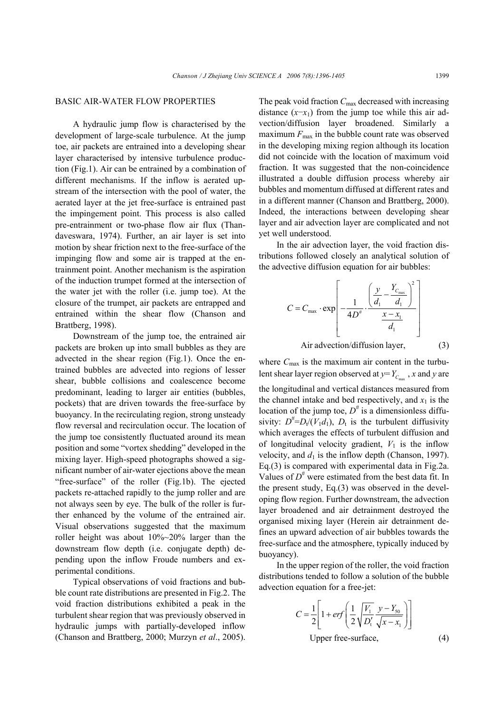#### BASIC AIR-WATER FLOW PROPERTIES

A hydraulic jump flow is characterised by the development of large-scale turbulence. At the jump toe, air packets are entrained into a developing shear layer characterised by intensive turbulence production (Fig.1). Air can be entrained by a combination of different mechanisms. If the inflow is aerated upstream of the intersection with the pool of water, the aerated layer at the jet free-surface is entrained past the impingement point. This process is also called pre-entrainment or two-phase flow air flux (Thandaveswara, 1974). Further, an air layer is set into motion by shear friction next to the free-surface of the impinging flow and some air is trapped at the entrainment point. Another mechanism is the aspiration of the induction trumpet formed at the intersection of the water jet with the roller (i.e. jump toe). At the closure of the trumpet, air packets are entrapped and entrained within the shear flow (Chanson and Brattberg, 1998).

Downstream of the jump toe, the entrained air packets are broken up into small bubbles as they are advected in the shear region (Fig.1). Once the entrained bubbles are advected into regions of lesser shear, bubble collisions and coalescence become predominant, leading to larger air entities (bubbles, pockets) that are driven towards the free-surface by buoyancy. In the recirculating region, strong unsteady flow reversal and recirculation occur. The location of the jump toe consistently fluctuated around its mean position and some "vortex shedding" developed in the mixing layer. High-speed photographs showed a significant number of air-water ejections above the mean "free-surface" of the roller (Fig.1b). The ejected packets re-attached rapidly to the jump roller and are not always seen by eye. The bulk of the roller is further enhanced by the volume of the entrained air. Visual observations suggested that the maximum roller height was about 10%~20% larger than the downstream flow depth (i.e. conjugate depth) depending upon the inflow Froude numbers and experimental conditions.

Typical observations of void fractions and bubble count rate distributions are presented in Fig.2. The void fraction distributions exhibited a peak in the turbulent shear region that was previously observed in hydraulic jumps with partially-developed inflow (Chanson and Brattberg, 2000; Murzyn *et al*., 2005). The peak void fraction  $C_{\text{max}}$  decreased with increasing distance  $(x-x_1)$  from the jump toe while this air advection/diffusion layer broadened. Similarly a maximum  $F_{\text{max}}$  in the bubble count rate was observed in the developing mixing region although its location did not coincide with the location of maximum void fraction. It was suggested that the non-coincidence illustrated a double diffusion process whereby air bubbles and momentum diffused at different rates and in a different manner (Chanson and Brattberg, 2000). Indeed, the interactions between developing shear layer and air advection layer are complicated and not yet well understood.

In the air advection layer, the void fraction distributions followed closely an analytical solution of the advective diffusion equation for air bubbles:

$$
C = C_{\text{max}} \cdot \exp\left[-\frac{1}{4D^*} \cdot \frac{\left(\frac{y}{d_1} - \frac{Y_{C_{\text{max}}}}{d_1}\right)^2}{\frac{x - x_1}{d_1}}\right]
$$
  
Air advection/diffusion layer, (3)

where  $C_{\text{max}}$  is the maximum air content in the turbulent shear layer region observed at  $y = Y_{C_{max}}$ , *x* and *y* are the longitudinal and vertical distances measured from the channel intake and bed respectively, and  $x_1$  is the location of the jump toe,  $D^{\#}$  is a dimensionless diffusivity:  $D^{\#} = D_v/(V_1 d_1)$ ,  $D_t$  is the turbulent diffusivity which averages the effects of turbulent diffusion and of longitudinal velocity gradient,  $V_1$  is the inflow velocity, and  $d_1$  is the inflow depth (Chanson, 1997). Eq.(3) is compared with experimental data in Fig.2a. Values of  $D^{\#}$  were estimated from the best data fit. In the present study, Eq.(3) was observed in the developing flow region. Further downstream, the advection layer broadened and air detrainment destroyed the organised mixing layer (Herein air detrainment defines an upward advection of air bubbles towards the free-surface and the atmosphere, typically induced by buoyancy).

In the upper region of the roller, the void fraction distributions tended to follow a solution of the bubble advection equation for a free-jet:

$$
C = \frac{1}{2} \left[ 1 + erf \left( \frac{1}{2} \sqrt{\frac{V_1}{D'_t}} \frac{y - Y_{50}}{\sqrt{x - x_1}} \right) \right]
$$
  
Upper free-surface, (4)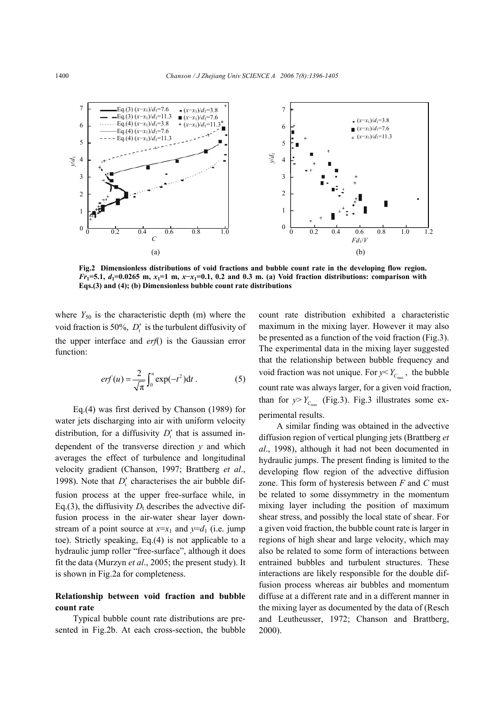

**Fig.2 Dimensionless distributions of void fractions and bubble count rate in the developing flow region.** *Fr***1=5.1,** *d***1=0.0265 m,** *x***1=1 m,** *x***−***x***1=0.1, 0.2 and 0.3 m. (a) Void fraction distributions: comparison with Eqs.(3) and (4); (b) Dimensionless bubble count rate distributions** 

where  $Y_{50}$  is the characteristic depth (m) where the void fraction is 50%,  $D_t'$  is the turbulent diffusivity of the upper interface and *erf*() is the Gaussian error function:

$$
erf(u) = \frac{2}{\sqrt{\pi}} \int_0^u \exp(-t^2) dt .
$$
 (5)

Eq.(4) was first derived by Chanson (1989) for water jets discharging into air with uniform velocity distribution, for a diffusivity  $D'_t$  that is assumed independent of the transverse direction *y* and which averages the effect of turbulence and longitudinal velocity gradient (Chanson, 1997; Brattberg *et al*., 1998). Note that  $D'_t$  characterises the air bubble diffusion process at the upper free-surface while, in Eq.(3), the diffusivity  $D_t$  describes the advective diffusion process in the air-water shear layer downstream of a point source at  $x=x_1$  and  $y=d_1$  (i.e. jump toe). Strictly speaking, Eq.(4) is not applicable to a hydraulic jump roller "free-surface", although it does fit the data (Murzyn *et al*., 2005; the present study). It is shown in Fig.2a for completeness.

## **Relationship between void fraction and bubble count rate**

Typical bubble count rate distributions are presented in Fig.2b. At each cross-section, the bubble count rate distribution exhibited a characteristic maximum in the mixing layer. However it may also be presented as a function of the void fraction (Fig.3). The experimental data in the mixing layer suggested that the relationship between bubble frequency and void fraction was not unique. For  $y < Y_c$ , the bubble count rate was always larger, for a given void fraction, than for  $y > Y_c$  (Fig.3). Fig.3 illustrates some experimental results.

A similar finding was obtained in the advective diffusion region of vertical plunging jets (Brattberg *et al*., 1998), although it had not been documented in hydraulic jumps. The present finding is limited to the developing flow region of the advective diffusion zone. This form of hysteresis between *F* and *C* must be related to some dissymmetry in the momentum mixing layer including the position of maximum shear stress, and possibly the local state of shear. For a given void fraction, the bubble count rate is larger in regions of high shear and large velocity, which may also be related to some form of interactions between entrained bubbles and turbulent structures. These interactions are likely responsible for the double diffusion process whereas air bubbles and momentum diffuse at a different rate and in a different manner in the mixing layer as documented by the data of (Resch and Leutheusser, 1972; Chanson and Brattberg, 2000).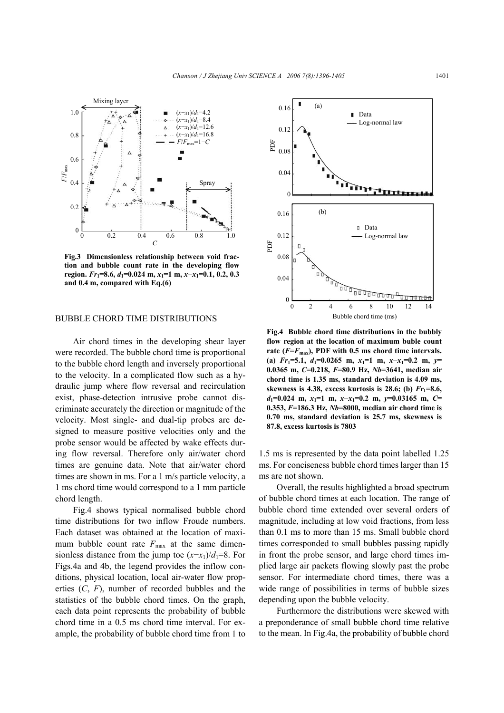

**Fig.3 Dimensionless relationship between void fraction and bubble count rate in the developing flow region.** *Fr***1=8.6,** *d***1=0.024 m,** *x***1=1 m,** *x***−***x***1=0.1, 0.2, 0.3 and 0.4 m, compared with Eq.(6)** 

## BUBBLE CHORD TIME DISTRIBUTIONS

Air chord times in the developing shear layer were recorded. The bubble chord time is proportional to the bubble chord length and inversely proportional to the velocity. In a complicated flow such as a hydraulic jump where flow reversal and recirculation exist, phase-detection intrusive probe cannot discriminate accurately the direction or magnitude of the velocity. Most single- and dual-tip probes are designed to measure positive velocities only and the probe sensor would be affected by wake effects during flow reversal. Therefore only air/water chord times are genuine data. Note that air/water chord times are shown in ms. For a 1 m/s particle velocity, a 1 ms chord time would correspond to a 1 mm particle chord length.

Fig.4 shows typical normalised bubble chord time distributions for two inflow Froude numbers. Each dataset was obtained at the location of maximum bubble count rate  $F_{\text{max}}$  at the same dimensionless distance from the jump toe  $(x-x_1)/d_1=8$ . For Figs.4a and 4b, the legend provides the inflow conditions, physical location, local air-water flow properties (*C*, *F*), number of recorded bubbles and the statistics of the bubble chord times. On the graph, each data point represents the probability of bubble chord time in a 0.5 ms chord time interval. For example, the probability of bubble chord time from 1 to



**Fig.4 Bubble chord time distributions in the bubbly flow region at the location of maximum buble count**  rate  $(F = F_{\text{max}})$ , PDF with 0.5 ms chord time intervals.  $f(x) = Fr_1 = 5.1$ ,  $d_1 = 0.0265$  m,  $x_1 = 1$  m,  $x - x_1 = 0.2$  m,  $y =$ **0.0365 m,** *C***=0.218,** *F***=80.9 Hz,** *Nb***=3641, median air chord time is 1.35 ms, standard deviation is 4.09 ms, skewness is 4.38, excess kurtosis is 28.6; (b)** *Fr***1=8.6,**  *d***1=0.024 m,** *x***1=1 m,** *x***−***x***1=0.2 m,** *y***=0.03165 m,** *C***= 0.353,** *F***=186.3 Hz,** *Nb***=8000, median air chord time is 0.70 ms, standard deviation is 25.7 ms, skewness is 87.8, excess kurtosis is 7803** 

1.5 ms is represented by the data point labelled 1.25 ms. For conciseness bubble chord times larger than 15 ms are not shown.

Overall, the results highlighted a broad spectrum of bubble chord times at each location. The range of bubble chord time extended over several orders of magnitude, including at low void fractions, from less than 0.1 ms to more than 15 ms. Small bubble chord times corresponded to small bubbles passing rapidly in front the probe sensor, and large chord times implied large air packets flowing slowly past the probe sensor. For intermediate chord times, there was a wide range of possibilities in terms of bubble sizes depending upon the bubble velocity.

Furthermore the distributions were skewed with a preponderance of small bubble chord time relative to the mean. In Fig.4a, the probability of bubble chord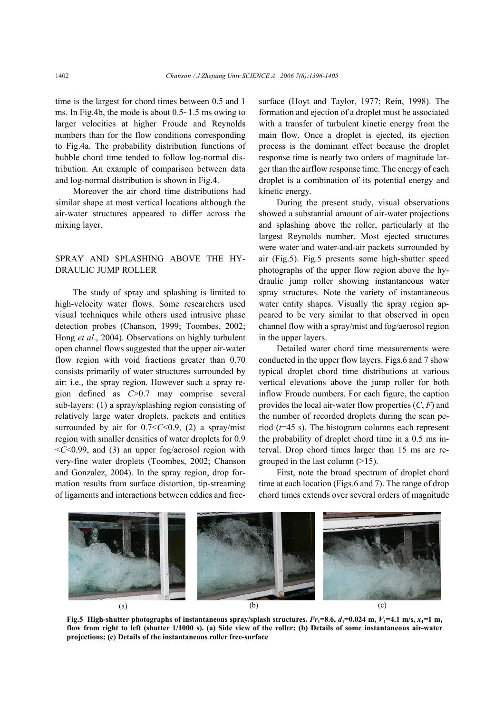time is the largest for chord times between 0.5 and 1 ms. In Fig.4b, the mode is about 0.5~1.5 ms owing to larger velocities at higher Froude and Reynolds numbers than for the flow conditions corresponding to Fig.4a. The probability distribution functions of bubble chord time tended to follow log-normal distribution. An example of comparison between data and log-normal distribution is shown in Fig.4.

Moreover the air chord time distributions had similar shape at most vertical locations although the air-water structures appeared to differ across the mixing layer.

## SPRAY AND SPLASHING ABOVE THE HY-DRAULIC JUMP ROLLER

The study of spray and splashing is limited to high-velocity water flows. Some researchers used visual techniques while others used intrusive phase detection probes (Chanson, 1999; Toombes, 2002; Hong *et al*., 2004). Observations on highly turbulent open channel flows suggested that the upper air-water flow region with void fractions greater than 0.70 consists primarily of water structures surrounded by air: i.e., the spray region. However such a spray region defined as *C*>0.7 may comprise several sub-layers: (1) a spray/splashing region consisting of relatively large water droplets, packets and entities surrounded by air for  $0.7 < C < 0.9$ , (2) a spray/mist region with smaller densities of water droplets for 0.9 <*C*<0.99, and (3) an upper fog/aerosol region with very-fine water droplets (Toombes, 2002; Chanson and Gonzalez, 2004). In the spray region, drop formation results from surface distortion, tip-streaming of ligaments and interactions between eddies and freesurface (Hoyt and Taylor, 1977; Rein, 1998). The formation and ejection of a droplet must be associated with a transfer of turbulent kinetic energy from the main flow. Once a droplet is ejected, its ejection process is the dominant effect because the droplet response time is nearly two orders of magnitude larger than the airflow response time. The energy of each droplet is a combination of its potential energy and kinetic energy.

During the present study, visual observations showed a substantial amount of air-water projections and splashing above the roller, particularly at the largest Reynolds number. Most ejected structures were water and water-and-air packets surrounded by air (Fig.5). Fig.5 presents some high-shutter speed photographs of the upper flow region above the hydraulic jump roller showing instantaneous water spray structures. Note the variety of instantaneous water entity shapes. Visually the spray region appeared to be very similar to that observed in open channel flow with a spray/mist and fog/aerosol region in the upper layers.

Detailed water chord time measurements were conducted in the upper flow layers. Figs.6 and 7 show typical droplet chord time distributions at various vertical elevations above the jump roller for both inflow Froude numbers. For each figure, the caption provides the local air-water flow properties (*C*, *F*) and the number of recorded droplets during the scan period (*t*=45 s). The histogram columns each represent the probability of droplet chord time in a 0.5 ms interval. Drop chord times larger than 15 ms are regrouped in the last column  $(>15)$ .

First, note the broad spectrum of droplet chord time at each location (Figs.6 and 7). The range of drop chord times extends over several orders of magnitude



**Fig.5** High-shutter photographs of instantaneous spray/splash structures.  $Fr_1=8.6$ ,  $d_1=0.024$  m,  $V_1=4.1$  m/s,  $x_1=1$  m, **flow from right to left (shutter 1/1000 s). (a) Side view of the roller; (b) Details of some instantaneous air-water projections; (c) Details of the instantaneous roller free-surface**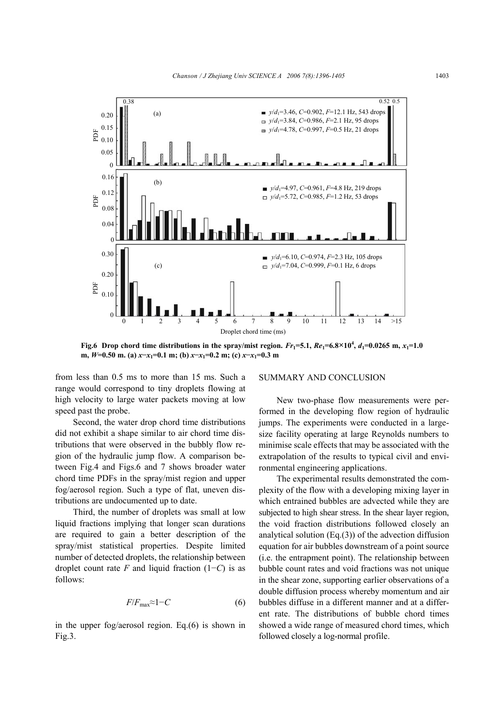

**Fig.6** Drop chord time distributions in the spray/mist region.  $Fr_1 = 5.1$ ,  $Re_1 = 6.8 \times 10^4$ ,  $d_1 = 0.0265$  m,  $x_1 = 1.0$ **m,** *W***=0.50 m. (a)** *x***−***x***1=0.1 m; (b)** *x***−***x***1=0.2 m; (c)** *x***−***x***1=0.3 m** 

from less than 0.5 ms to more than 15 ms. Such a range would correspond to tiny droplets flowing at high velocity to large water packets moving at low speed past the probe.

Second, the water drop chord time distributions did not exhibit a shape similar to air chord time distributions that were observed in the bubbly flow region of the hydraulic jump flow. A comparison between Fig.4 and Figs.6 and 7 shows broader water chord time PDFs in the spray/mist region and upper fog/aerosol region. Such a type of flat, uneven distributions are undocumented up to date.

Third, the number of droplets was small at low liquid fractions implying that longer scan durations are required to gain a better description of the spray/mist statistical properties. Despite limited number of detected droplets, the relationship between droplet count rate *F* and liquid fraction (1−*C*) is as follows:

$$
F/F_{\text{max}} \approx 1 - C \tag{6}
$$

in the upper fog/aerosol region. Eq.(6) is shown in Fig.3.

#### SUMMARY AND CONCLUSION

New two-phase flow measurements were performed in the developing flow region of hydraulic jumps. The experiments were conducted in a largesize facility operating at large Reynolds numbers to minimise scale effects that may be associated with the extrapolation of the results to typical civil and environmental engineering applications.

The experimental results demonstrated the complexity of the flow with a developing mixing layer in which entrained bubbles are advected while they are subjected to high shear stress. In the shear layer region, the void fraction distributions followed closely an analytical solution (Eq.(3)) of the advection diffusion equation for air bubbles downstream of a point source (i.e. the entrapment point). The relationship between bubble count rates and void fractions was not unique in the shear zone, supporting earlier observations of a double diffusion process whereby momentum and air bubbles diffuse in a different manner and at a different rate. The distributions of bubble chord times showed a wide range of measured chord times, which followed closely a log-normal profile.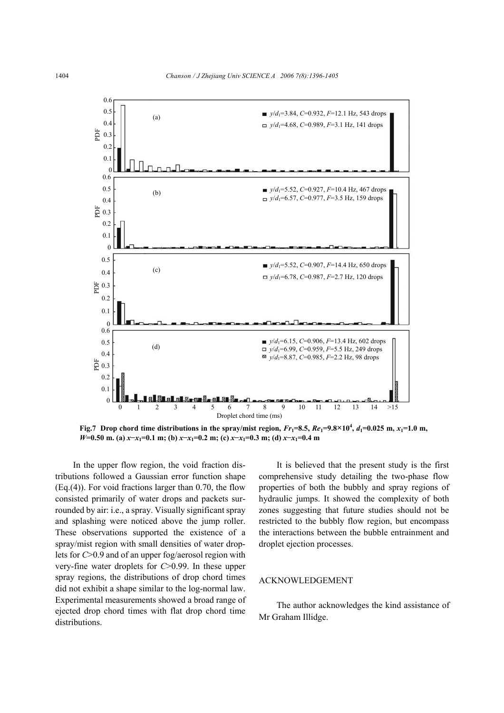

**Fig.7** Drop chord time distributions in the spray/mist region,  $Fr_1 = 8.5$ ,  $Re_1 = 9.8 \times 10^4$ ,  $d_1 = 0.025$  m,  $x_1 = 1.0$  m, *W*=0.50 m. (a)  $x$ − $x$ <sub>1</sub>=0.1 m; (b)  $x$ − $x$ <sub>1</sub>=0.2 m; (c)  $x$ − $x$ <sub>1</sub>=0.3 m; (d)  $x$ − $x$ <sub>1</sub>=0.4 m

In the upper flow region, the void fraction distributions followed a Gaussian error function shape (Eq.(4)). For void fractions larger than 0.70, the flow consisted primarily of water drops and packets surrounded by air: i.e., a spray. Visually significant spray and splashing were noticed above the jump roller. These observations supported the existence of a spray/mist region with small densities of water droplets for *C*>0.9 and of an upper fog/aerosol region with very-fine water droplets for *C*>0.99. In these upper spray regions, the distributions of drop chord times did not exhibit a shape similar to the log-normal law. Experimental measurements showed a broad range of ejected drop chord times with flat drop chord time distributions.

It is believed that the present study is the first comprehensive study detailing the two-phase flow properties of both the bubbly and spray regions of hydraulic jumps. It showed the complexity of both zones suggesting that future studies should not be restricted to the bubbly flow region, but encompass the interactions between the bubble entrainment and droplet ejection processes.

#### ACKNOWLEDGEMENT

The author acknowledges the kind assistance of Mr Graham Illidge.